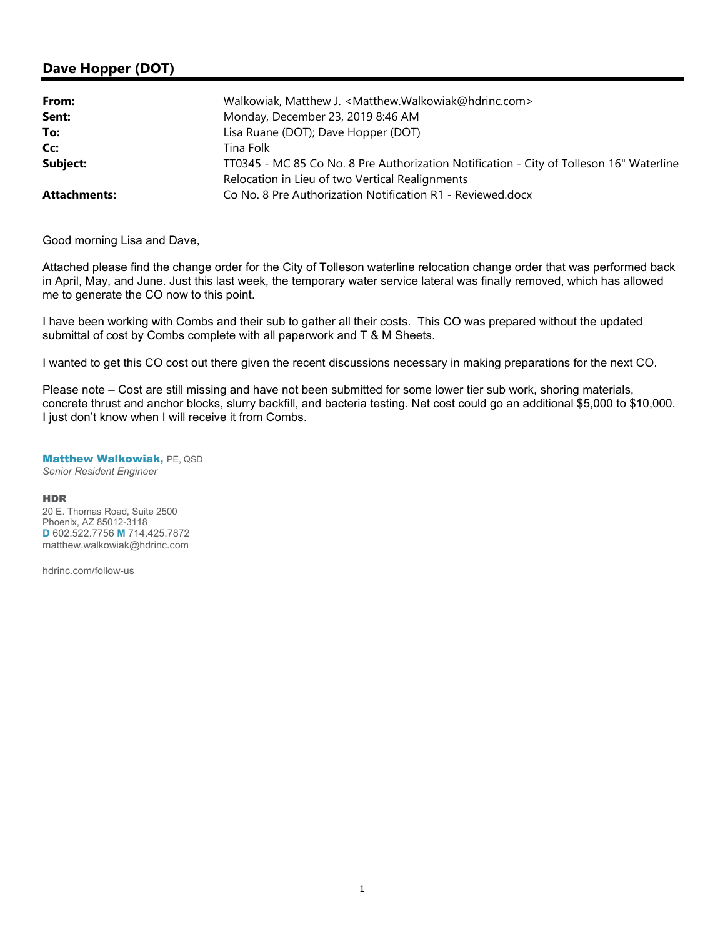## **Dave Hopper (DOT)**

| From:               | Walkowiak, Matthew J. < Matthew. Walkowiak@hdrinc.com>                                  |
|---------------------|-----------------------------------------------------------------------------------------|
| Sent:               | Monday, December 23, 2019 8:46 AM                                                       |
| To:                 | Lisa Ruane (DOT); Dave Hopper (DOT)                                                     |
| Cc:                 | Tina Folk                                                                               |
| Subject:            | TT0345 - MC 85 Co No. 8 Pre Authorization Notification - City of Tolleson 16" Waterline |
|                     | Relocation in Lieu of two Vertical Realignments                                         |
| <b>Attachments:</b> | Co No. 8 Pre Authorization Notification R1 - Reviewed.docx                              |

Good morning Lisa and Dave,

Attached please find the change order for the City of Tolleson waterline relocation change order that was performed back in April, May, and June. Just this last week, the temporary water service lateral was finally removed, which has allowed me to generate the CO now to this point.

I have been working with Combs and their sub to gather all their costs. This CO was prepared without the updated submittal of cost by Combs complete with all paperwork and T & M Sheets.

I wanted to get this CO cost out there given the recent discussions necessary in making preparations for the next CO.

Please note – Cost are still missing and have not been submitted for some lower tier sub work, shoring materials, concrete thrust and anchor blocks, slurry backfill, and bacteria testing. Net cost could go an additional \$5,000 to \$10,000. I just don't know when I will receive it from Combs.

## Matthew Walkowiak, PE, QSD

*Senior Resident Engineer*

## HDR

20 E. Thomas Road, Suite 2500 Phoenix, AZ 85012-3118 **D** 602.522.7756 **M** 714.425.7872 matthew.walkowiak@hdrinc.com

hdrinc.com/follow-us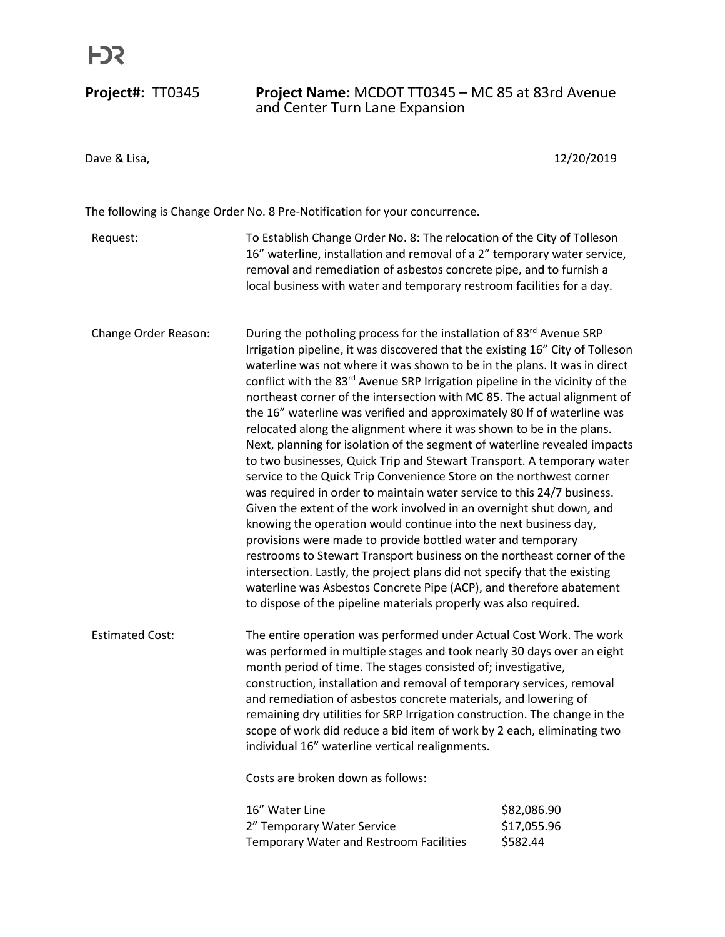**Project#:** TT0345 **Project Name:** MCDOT TT0345 – MC 85 at 83rd Avenue and Center Turn Lane Expansion

Dave & Lisa, 12/20/2019

The following is Change Order No. 8 Pre-Notification for your concurrence.

| Request:               | To Establish Change Order No. 8: The relocation of the City of Tolleson<br>16" waterline, installation and removal of a 2" temporary water service,<br>removal and remediation of asbestos concrete pipe, and to furnish a<br>local business with water and temporary restroom facilities for a day.                                                                                                                                                                                                                                                                                                                                                                                                                                                                                                                                                                                                                                                                                                                                                                                                                                                                                                                                                                                                                                                                               |          |
|------------------------|------------------------------------------------------------------------------------------------------------------------------------------------------------------------------------------------------------------------------------------------------------------------------------------------------------------------------------------------------------------------------------------------------------------------------------------------------------------------------------------------------------------------------------------------------------------------------------------------------------------------------------------------------------------------------------------------------------------------------------------------------------------------------------------------------------------------------------------------------------------------------------------------------------------------------------------------------------------------------------------------------------------------------------------------------------------------------------------------------------------------------------------------------------------------------------------------------------------------------------------------------------------------------------------------------------------------------------------------------------------------------------|----------|
| Change Order Reason:   | During the potholing process for the installation of 83rd Avenue SRP<br>Irrigation pipeline, it was discovered that the existing 16" City of Tolleson<br>waterline was not where it was shown to be in the plans. It was in direct<br>conflict with the 83 <sup>rd</sup> Avenue SRP Irrigation pipeline in the vicinity of the<br>northeast corner of the intersection with MC 85. The actual alignment of<br>the 16" waterline was verified and approximately 80 If of waterline was<br>relocated along the alignment where it was shown to be in the plans.<br>Next, planning for isolation of the segment of waterline revealed impacts<br>to two businesses, Quick Trip and Stewart Transport. A temporary water<br>service to the Quick Trip Convenience Store on the northwest corner<br>was required in order to maintain water service to this 24/7 business.<br>Given the extent of the work involved in an overnight shut down, and<br>knowing the operation would continue into the next business day,<br>provisions were made to provide bottled water and temporary<br>restrooms to Stewart Transport business on the northeast corner of the<br>intersection. Lastly, the project plans did not specify that the existing<br>waterline was Asbestos Concrete Pipe (ACP), and therefore abatement<br>to dispose of the pipeline materials properly was also required. |          |
| <b>Estimated Cost:</b> | The entire operation was performed under Actual Cost Work. The work<br>was performed in multiple stages and took nearly 30 days over an eight<br>month period of time. The stages consisted of; investigative,<br>construction, installation and removal of temporary services, removal<br>and remediation of asbestos concrete materials, and lowering of<br>remaining dry utilities for SRP Irrigation construction. The change in the<br>scope of work did reduce a bid item of work by 2 each, eliminating two<br>individual 16" waterline vertical realignments.<br>Costs are broken down as follows:<br>16" Water Line<br>\$82,086.90<br>2" Temporary Water Service<br>\$17,055.96                                                                                                                                                                                                                                                                                                                                                                                                                                                                                                                                                                                                                                                                                           |          |
|                        | Temporary Water and Restroom Facilities                                                                                                                                                                                                                                                                                                                                                                                                                                                                                                                                                                                                                                                                                                                                                                                                                                                                                                                                                                                                                                                                                                                                                                                                                                                                                                                                            | \$582.44 |